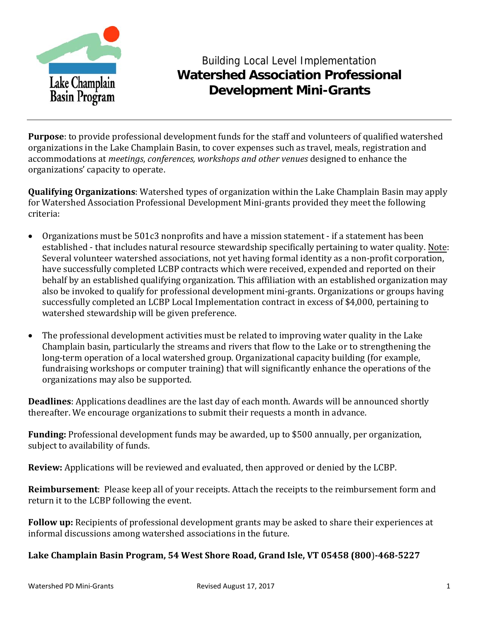

# Building Local Level Implementation **Watershed Association Professional Development Mini-Grants**

**Purpose**: to provide professional development funds for the staff and volunteers of qualified watershed organizations in the Lake Champlain Basin, to cover expenses such as travel, meals, registration and accommodations at *meetings*, *conferences, workshops and other venues* designed to enhance the organizations' capacity to operate.

**Qualifying Organizations**: Watershed types of organization within the Lake Champlain Basin may apply for Watershed Association Professional Development Mini‐grants provided they meet the following criteria:

- Organizations must be 501c3 nonprofits and have a mission statement if a statement has been established ‐ that includes natural resource stewardship specifically pertaining to water quality. Note: Several volunteer watershed associations, not yet having formal identity as a non-profit corporation, have successfully completed LCBP contracts which were received, expended and reported on their behalf by an established qualifying organization. This affiliation with an established organization may also be invoked to qualify for professional development mini‐grants. Organizations or groups having successfully completed an LCBP Local Implementation contract in excess of \$4,000, pertaining to watershed stewardship will be given preference.
- The professional development activities must be related to improving water quality in the Lake Champlain basin, particularly the streams and rivers that flow to the Lake or to strengthening the long‐term operation of a local watershed group. Organizational capacity building (for example, fundraising workshops or computer training) that will significantly enhance the operations of the organizations may also be supported.

**Deadlines**: Applications deadlines are the last day of each month. Awards will be announced shortly thereafter. We encourage organizations to submit their requests a month in advance.

**Funding:** Professional development funds may be awarded, up to \$500 annually, per organization, subject to availability of funds.

**Review:** Applications will be reviewed and evaluated, then approved or denied by the LCBP.

**Reimbursement**: Please keep all of your receipts. Attach the receipts to the reimbursement form and return it to the LCBP following the event.

**Follow up:** Recipients of professional development grants may be asked to share their experiences at informal discussions among watershed associations in the future.

#### **Lake Champlain Basin Program, 54 West Shore Road, Grand Isle, VT 05458 (800**)**4685227**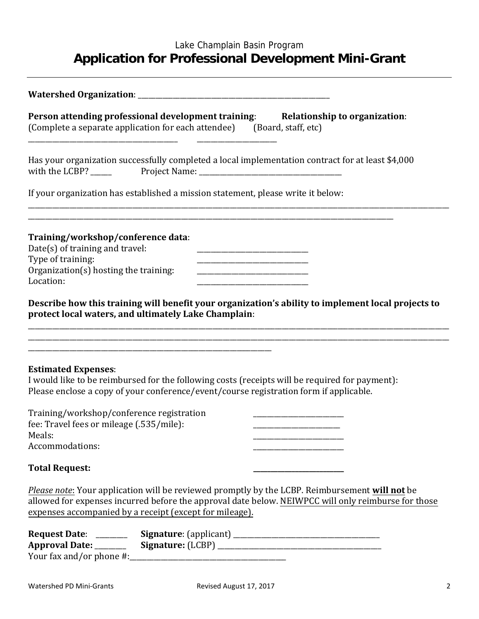## Lake Champlain Basin Program **Application for Professional Development Mini-Grant**

| Person attending professional development training: Relationship to organization:<br>(Complete a separate application for each attendee) (Board, staff, etc)                                                                                                                                                   |
|----------------------------------------------------------------------------------------------------------------------------------------------------------------------------------------------------------------------------------------------------------------------------------------------------------------|
| Has your organization successfully completed a local implementation contract for at least \$4,000                                                                                                                                                                                                              |
| If your organization has established a mission statement, please write it below:                                                                                                                                                                                                                               |
| Training/workshop/conference data:<br>Date(s) of training and travel:<br>Type of training:<br>Organization(s) hosting the training:<br>Location:<br>Describe how this training will benefit your organization's ability to implement local projects to<br>protect local waters, and ultimately Lake Champlain: |
|                                                                                                                                                                                                                                                                                                                |
| <b>Estimated Expenses:</b><br>I would like to be reimbursed for the following costs (receipts will be required for payment):<br>Please enclose a copy of your conference/event/course registration form if applicable.<br>Training/workshop/conference registration                                            |
| fee: Travel fees or mileage (.535/mile):<br>Meals:<br>Accommodations:                                                                                                                                                                                                                                          |
| <b>Total Request:</b>                                                                                                                                                                                                                                                                                          |
| <i>Please note:</i> Your application will be reviewed promptly by the LCBP. Reimbursement will not be<br>allowed for expenses incurred before the approval date below. NEIWPCC will only reimburse for those<br>expenses accompanied by a receipt (except for mileage).                                        |
| Request Date: _____________Signature: (applicant) _______________________________                                                                                                                                                                                                                              |

Your fax and/or phone #:\_\_\_\_\_\_\_\_\_\_\_\_\_\_\_\_\_\_\_\_\_\_\_\_\_\_\_\_\_\_\_\_\_\_\_\_\_\_\_\_\_\_\_\_\_